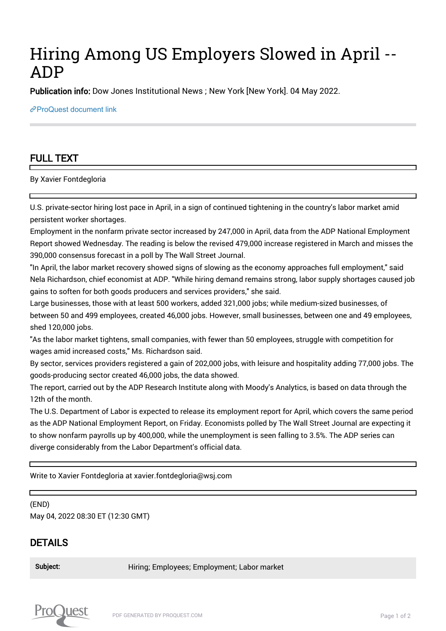## Hiring Among US Employers Slowed in April -- ADP

Publication info: Dow Jones Institutional News ; New York [New York]. 04 May 2022.

[ProQuest document link](https://www.proquest.com/wire-feeds/hiring-among-us-employers-slowed-april-adp/docview/2659456568/se-2?accountid=44910)

## FULL TEXT

By Xavier Fontdegloria

U.S. private-sector hiring lost pace in April, in a sign of continued tightening in the country's labor market amid persistent worker shortages.

Employment in the nonfarm private sector increased by 247,000 in April, data from the ADP National Employment Report showed Wednesday. The reading is below the revised 479,000 increase registered in March and misses the 390,000 consensus forecast in a poll by The Wall Street Journal.

"In April, the labor market recovery showed signs of slowing as the economy approaches full employment," said Nela Richardson, chief economist at ADP. "While hiring demand remains strong, labor supply shortages caused job gains to soften for both goods producers and services providers," she said.

Large businesses, those with at least 500 workers, added 321,000 jobs; while medium-sized businesses, of between 50 and 499 employees, created 46,000 jobs. However, small businesses, between one and 49 employees, shed 120,000 jobs.

"As the labor market tightens, small companies, with fewer than 50 employees, struggle with competition for wages amid increased costs," Ms. Richardson said.

By sector, services providers registered a gain of 202,000 jobs, with leisure and hospitality adding 77,000 jobs. The goods-producing sector created 46,000 jobs, the data showed.

The report, carried out by the ADP Research Institute along with Moody's Analytics, is based on data through the 12th of the month.

The U.S. Department of Labor is expected to release its employment report for April, which covers the same period as the ADP National Employment Report, on Friday. Economists polled by The Wall Street Journal are expecting it to show nonfarm payrolls up by 400,000, while the unemployment is seen falling to 3.5%. The ADP series can diverge considerably from the Labor Department's official data.

Write to Xavier Fontdegloria at xavier.fontdegloria@wsj.com

(END) May 04, 2022 08:30 ET (12:30 GMT)

## DETAILS

Subject: Hiring; Employees; Employment; Labor market